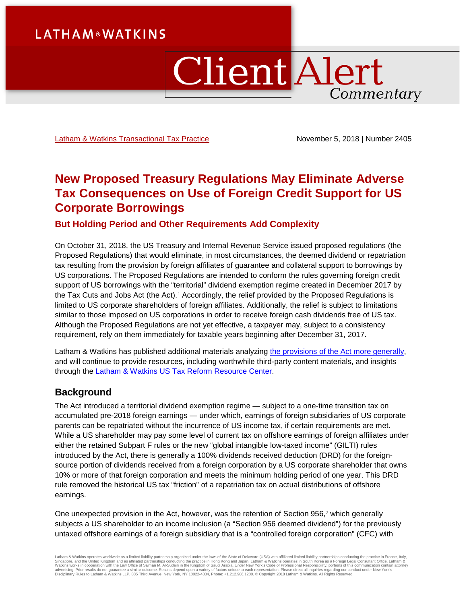# **LATHAM&WATKINS**

# ClientAlert Commentary

[Latham & Watkins Transactional Tax Practice](https://www.lw.com/practices/TransactionalTax) November 5, 2018 | Number 2405

# **New Proposed Treasury Regulations May Eliminate Adverse Tax Consequences on Use of Foreign Credit Support for US Corporate Borrowings**

**But Holding Period and Other Requirements Add Complexity**

On October 31, 2018, the US Treasury and Internal Revenue Service issued proposed regulations (the Proposed Regulations) that would eliminate, in most circumstances, the deemed dividend or repatriation tax resulting from the provision by foreign affiliates of guarantee and collateral support to borrowings by US corporations. The Proposed Regulations are intended to conform the rules governing foreign credit support of US borrowings with the "territorial" dividend exemption regime created in December 2017 by the Tax Cuts and Jobs Act (the Act).[1](#page-4-0) Accordingly, the relief provided by the Proposed Regulations is limited to US corporate shareholders of foreign affiliates. Additionally, the relief is subject to limitations similar to those imposed on US corporations in order to receive foreign cash dividends free of US tax. Although the Proposed Regulations are not yet effective, a taxpayer may, subject to a consistency requirement, rely on them immediately for taxable years beginning after December 31, 2017.

Latham & Watkins has published additional materials analyzing [the provisions of the Act more generally,](https://www.lw.com/thoughtLeadership/US-tax-reform-key-business-impacts-charts-transactional-diagrams) and will continue to provide resources, including worthwhile third-party content materials, and insights through the [Latham & Watkins US Tax Reform Resource Center.](https://www.lw.com/practices/USTaxReform)

## **Background**

The Act introduced a territorial dividend exemption regime — subject to a one-time transition tax on accumulated pre-2018 foreign earnings — under which, earnings of foreign subsidiaries of US corporate parents can be repatriated without the incurrence of US income tax, if certain requirements are met. While a US shareholder may pay some level of current tax on offshore earnings of foreign affiliates under either the retained Subpart F rules or the new "global intangible low-taxed income" (GILTI) rules introduced by the Act, there is generally a 100% dividends received deduction (DRD) for the foreignsource portion of dividends received from a foreign corporation by a US corporate shareholder that owns 10% or more of that foreign corporation and meets the minimum holding period of one year. This DRD rule removed the historical US tax "friction" of a repatriation tax on actual distributions of offshore earnings.

One unexpected provision in the Act, however, was the retention of Section  $956<sup>2</sup>$  $956<sup>2</sup>$  $956<sup>2</sup>$  which generally subjects a US shareholder to an income inclusion (a "Section 956 deemed dividend") for the previously untaxed offshore earnings of a foreign subsidiary that is a "controlled foreign corporation" (CFC) with

Latham & Watkins operates worldwide as a limited liability partnership organized under the laws of the State of Delaware (USA) with affiliated limited liability partnerships conducting the practice in France, Italy,<br>Singap Disciplinary Rules to Latham & Watkins LLP, 885 Third Avenue, New York, NY 10022-4834, Phone: +1.212.906.1200. © Copyright 2018 Latham & Watkins. All Rights Reserved.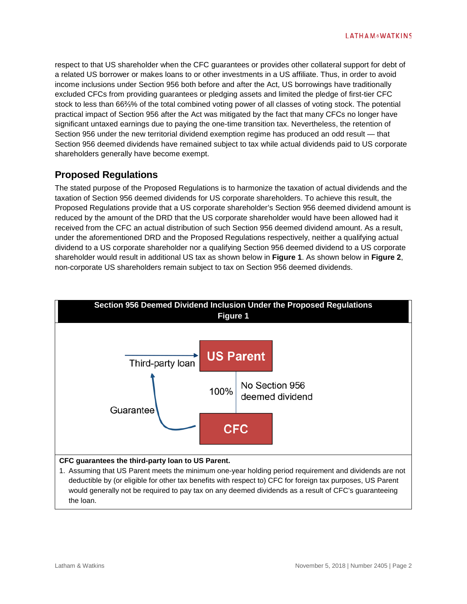respect to that US shareholder when the CFC guarantees or provides other collateral support for debt of a related US borrower or makes loans to or other investments in a US affiliate. Thus, in order to avoid income inclusions under Section 956 both before and after the Act, US borrowings have traditionally excluded CFCs from providing guarantees or pledging assets and limited the pledge of first-tier CFC stock to less than 66⅔% of the total combined voting power of all classes of voting stock. The potential practical impact of Section 956 after the Act was mitigated by the fact that many CFCs no longer have significant untaxed earnings due to paying the one-time transition tax. Nevertheless, the retention of Section 956 under the new territorial dividend exemption regime has produced an odd result — that Section 956 deemed dividends have remained subject to tax while actual dividends paid to US corporate shareholders generally have become exempt.

## **Proposed Regulations**

The stated purpose of the Proposed Regulations is to harmonize the taxation of actual dividends and the taxation of Section 956 deemed dividends for US corporate shareholders. To achieve this result, the Proposed Regulations provide that a US corporate shareholder's Section 956 deemed dividend amount is reduced by the amount of the DRD that the US corporate shareholder would have been allowed had it received from the CFC an actual distribution of such Section 956 deemed dividend amount. As a result, under the aforementioned DRD and the Proposed Regulations respectively, neither a qualifying actual dividend to a US corporate shareholder nor a qualifying Section 956 deemed dividend to a US corporate shareholder would result in additional US tax as shown below in **Figure 1**. As shown below in **Figure 2**, non-corporate US shareholders remain subject to tax on Section 956 deemed dividends.

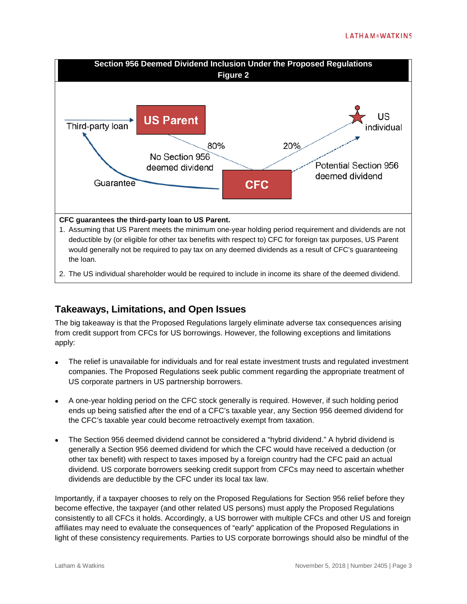

2. The US individual shareholder would be required to include in income its share of the deemed dividend.

### **Takeaways, Limitations, and Open Issues**

The big takeaway is that the Proposed Regulations largely eliminate adverse tax consequences arising from credit support from CFCs for US borrowings. However, the following exceptions and limitations apply:

- The relief is unavailable for individuals and for real estate investment trusts and regulated investment companies. The Proposed Regulations seek public comment regarding the appropriate treatment of US corporate partners in US partnership borrowers.
- A one-year holding period on the CFC stock generally is required. However, if such holding period ends up being satisfied after the end of a CFC's taxable year, any Section 956 deemed dividend for the CFC's taxable year could become retroactively exempt from taxation.
- The Section 956 deemed dividend cannot be considered a "hybrid dividend." A hybrid dividend is generally a Section 956 deemed dividend for which the CFC would have received a deduction (or other tax benefit) with respect to taxes imposed by a foreign country had the CFC paid an actual dividend. US corporate borrowers seeking credit support from CFCs may need to ascertain whether dividends are deductible by the CFC under its local tax law.

Importantly, if a taxpayer chooses to rely on the Proposed Regulations for Section 956 relief before they become effective, the taxpayer (and other related US persons) must apply the Proposed Regulations consistently to all CFCs it holds. Accordingly, a US borrower with multiple CFCs and other US and foreign affiliates may need to evaluate the consequences of "early" application of the Proposed Regulations in light of these consistency requirements. Parties to US corporate borrowings should also be mindful of the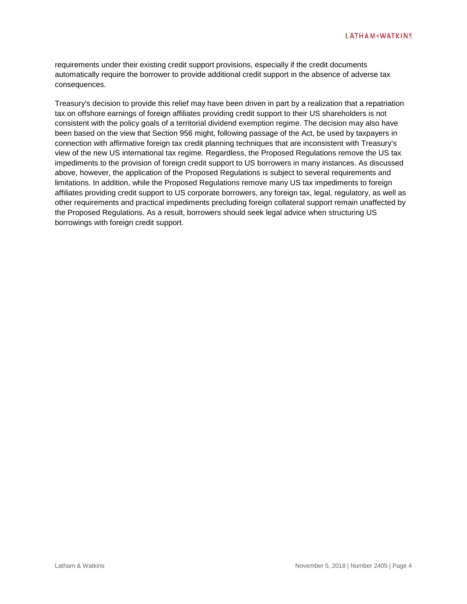requirements under their existing credit support provisions, especially if the credit documents automatically require the borrower to provide additional credit support in the absence of adverse tax consequences.

Treasury's decision to provide this relief may have been driven in part by a realization that a repatriation tax on offshore earnings of foreign affiliates providing credit support to their US shareholders is not consistent with the policy goals of a territorial dividend exemption regime. The decision may also have been based on the view that Section 956 might, following passage of the Act, be used by taxpayers in connection with affirmative foreign tax credit planning techniques that are inconsistent with Treasury's view of the new US international tax regime. Regardless, the Proposed Regulations remove the US tax impediments to the provision of foreign credit support to US borrowers in many instances. As discussed above, however, the application of the Proposed Regulations is subject to several requirements and limitations. In addition, while the Proposed Regulations remove many US tax impediments to foreign affiliates providing credit support to US corporate borrowers, any foreign tax, legal, regulatory, as well as other requirements and practical impediments precluding foreign collateral support remain unaffected by the Proposed Regulations. As a result, borrowers should seek legal advice when structuring US borrowings with foreign credit support.